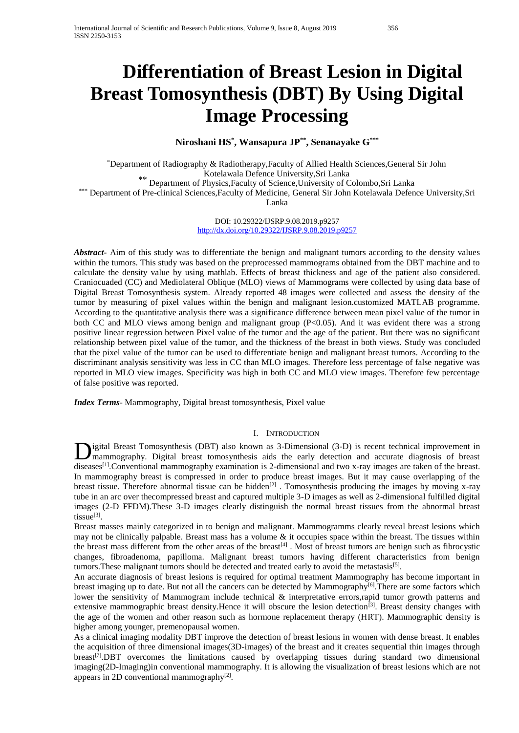# **Differentiation of Breast Lesion in Digital Breast Tomosynthesis (DBT) By Using Digital Image Processing**

**Niroshani HS\* , Wansapura JP\*\*, Senanayake G\*\*\***

\*Department of Radiography & Radiotherapy,Faculty of Allied Health Sciences,General Sir John Kotelawala Defence University,Sri Lanka \*\* Department of Physics,Faculty of Science,University of Colombo,Sri Lanka \*\*\* Department of Pre-clinical Sciences,Faculty of Medicine, General Sir John Kotelawala Defence University,Sri Lanka

> DOI: 10.29322/IJSRP.9.08.2019.p9257 <http://dx.doi.org/10.29322/IJSRP.9.08.2019.p9257>

*Abstract***-** Aim of this study was to differentiate the benign and malignant tumors according to the density values within the tumors. This study was based on the preprocessed mammograms obtained from the DBT machine and to calculate the density value by using mathlab. Effects of breast thickness and age of the patient also considered. Craniocuaded (CC) and Mediolateral Oblique (MLO) views of Mammograms were collected by using data base of Digital Breast Tomosynthesis system. Already reported 48 images were collected and assess the density of the tumor by measuring of pixel values within the benign and malignant lesion.customized MATLAB programme. According to the quantitative analysis there was a significance difference between mean pixel value of the tumor in both CC and MLO views among benign and malignant group (P<0.05). And it was evident there was a strong positive linear regression between Pixel value of the tumor and the age of the patient. But there was no significant relationship between pixel value of the tumor, and the thickness of the breast in both views. Study was concluded that the pixel value of the tumor can be used to differentiate benign and malignant breast tumors. According to the discriminant analysis sensitivity was less in CC than MLO images. Therefore less percentage of false negative was reported in MLO view images. Specificity was high in both CC and MLO view images. Therefore few percentage of false positive was reported.

*Index Terms*- Mammography, Digital breast tomosynthesis, Pixel value

# I. INTRODUCTION

igital Breast Tomosynthesis (DBT) also known as 3-Dimensional (3-D) is recent technical improvement in mammography. Digital breast tomosynthesis aids the early detection and accurate diagnosis of breast **D**igital Breast Tomosynthesis (DBT) also known as 3-Dimensional (3-D) is recent technical improvement in mammography. Digital breast tomosynthesis aids the early detection and accurate diagnosis of breast. diseases<sup>[1]</sup>. In mammography breast is compressed in order to produce breast images. But it may cause overlapping of the breast tissue. Therefore abnormal tissue can be hidden<sup>[2]</sup>. Tomosynthesis producing the images by moving x-ray tube in an arc over thecompressed breast and captured multiple 3-D images as well as 2-dimensional fulfilled digital images (2-D FFDM).These 3-D images clearly distinguish the normal breast tissues from the abnormal breast tissue<sup>[3]</sup>.

Breast masses mainly categorized in to benign and malignant. Mammogramms clearly reveal breast lesions which may not be clinically palpable. Breast mass has a volume  $\&$  it occupies space within the breast. The tissues within the breast mass different from the other areas of the breast<sup>[4]</sup>. Most of breast tumors are benign such as fibrocystic changes, fibroadenoma, papilloma. Malignant breast tumors having different characteristics from benign tumors. These malignant tumors should be detected and treated early to avoid the metastasis<sup>[5]</sup>.

An accurate diagnosis of breast lesions is required for optimal treatment Mammography has become important in breast imaging up to date. But not all the cancers can be detected by Mammography<sup>[6]</sup>. There are some factors which lower the sensitivity of Mammogram include technical & interpretative errors,rapid tumor growth patterns and extensive mammographic breast density.Hence it will obscure the lesion detection<sup>[3]</sup>. Breast density changes with the age of the women and other reason such as hormone replacement therapy (HRT). Mammographic density is higher among younger, premenopausal women.

As a clinical imaging modality DBT improve the detection of breast lesions in women with dense breast. It enables the acquisition of three dimensional images(3D-images) of the breast and it creates sequential thin images through breast<sup>[7]</sup>.DBT overcomes the limitations caused by overlapping tissues during standard two dimensional imaging(2D-Imaging)in conventional mammography. It is allowing the visualization of breast lesions which are not appears in 2D conventional mammography<sup>[2]</sup>.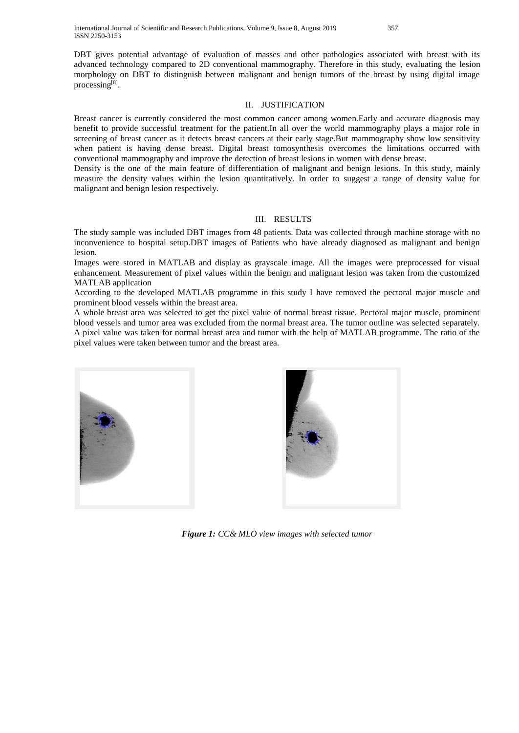DBT gives potential advantage of evaluation of masses and other pathologies associated with breast with its advanced technology compared to 2D conventional mammography. Therefore in this study, evaluating the lesion morphology on DBT to distinguish between malignant and benign tumors of the breast by using digital image processing[8].

## II. JUSTIFICATION

Breast cancer is currently considered the most common cancer among women.Early and accurate diagnosis may benefit to provide successful treatment for the patient.In all over the world mammography plays a major role in screening of breast cancer as it detects breast cancers at their early stage.But mammography show low sensitivity when patient is having dense breast. Digital breast tomosynthesis overcomes the limitations occurred with conventional mammography and improve the detection of breast lesions in women with dense breast.

Density is the one of the main feature of differentiation of malignant and benign lesions. In this study, mainly measure the density values within the lesion quantitatively. In order to suggest a range of density value for malignant and benign lesion respectively.

# III. RESULTS

The study sample was included DBT images from 48 patients. Data was collected through machine storage with no inconvenience to hospital setup.DBT images of Patients who have already diagnosed as malignant and benign lesion.

Images were stored in MATLAB and display as grayscale image. All the images were preprocessed for visual enhancement. Measurement of pixel values within the benign and malignant lesion was taken from the customized MATLAB application

According to the developed MATLAB programme in this study I have removed the pectoral major muscle and prominent blood vessels within the breast area.

A whole breast area was selected to get the pixel value of normal breast tissue. Pectoral major muscle, prominent blood vessels and tumor area was excluded from the normal breast area. The tumor outline was selected separately. A pixel value was taken for normal breast area and tumor with the help of MATLAB programme. The ratio of the pixel values were taken between tumor and the breast area.





*Figure 1: CC& MLO view images with selected tumor*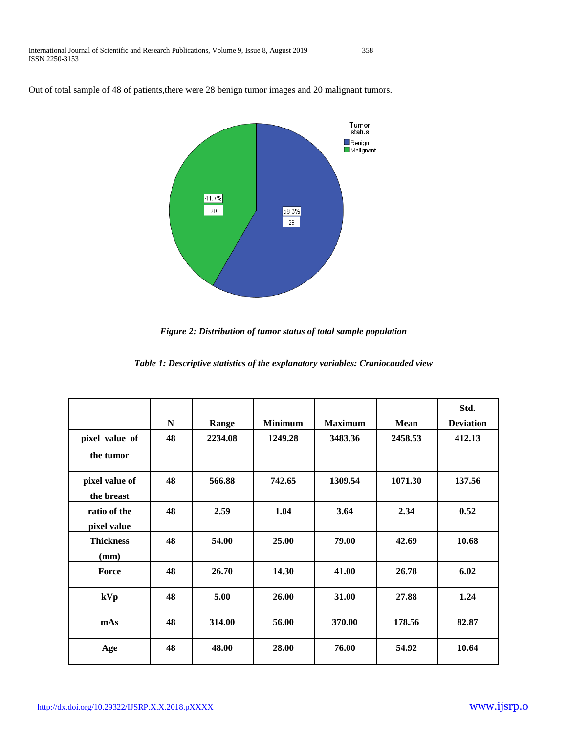Tumor<br>status ■Benign<br>■Malignant 41.7%  $\overline{20}$ 58.3%  $\boxed{28}$ 

Out of total sample of 48 of patients,there were 28 benign tumor images and 20 malignant tumors.

*Figure 2: Distribution of tumor status of total sample population*

| Table 1: Descriptive statistics of the explanatory variables: Craniocauded view |  |  |
|---------------------------------------------------------------------------------|--|--|
|                                                                                 |  |  |

|                              | N  | Range   | <b>Minimum</b> | <b>Maximum</b> | <b>Mean</b> | Std.<br><b>Deviation</b> |
|------------------------------|----|---------|----------------|----------------|-------------|--------------------------|
| pixel value of<br>the tumor  | 48 | 2234.08 | 1249.28        | 3483.36        | 2458.53     | 412.13                   |
| pixel value of<br>the breast | 48 | 566.88  | 742.65         | 1309.54        | 1071.30     | 137.56                   |
| ratio of the<br>pixel value  | 48 | 2.59    | 1.04           | 3.64           | 2.34        | 0.52                     |
| <b>Thickness</b><br>(mm)     | 48 | 54.00   | 25.00          | 79.00          | 42.69       | 10.68                    |
| Force                        | 48 | 26.70   | 14.30          | 41.00          | 26.78       | 6.02                     |
| $\mathbf{k}$ Vp              | 48 | 5.00    | 26.00          | 31.00          | 27.88       | 1.24                     |
| mAs                          | 48 | 314.00  | 56.00          | 370.00         | 178.56      | 82.87                    |
| Age                          | 48 | 48.00   | 28.00          | 76.00          | 54.92       | 10.64                    |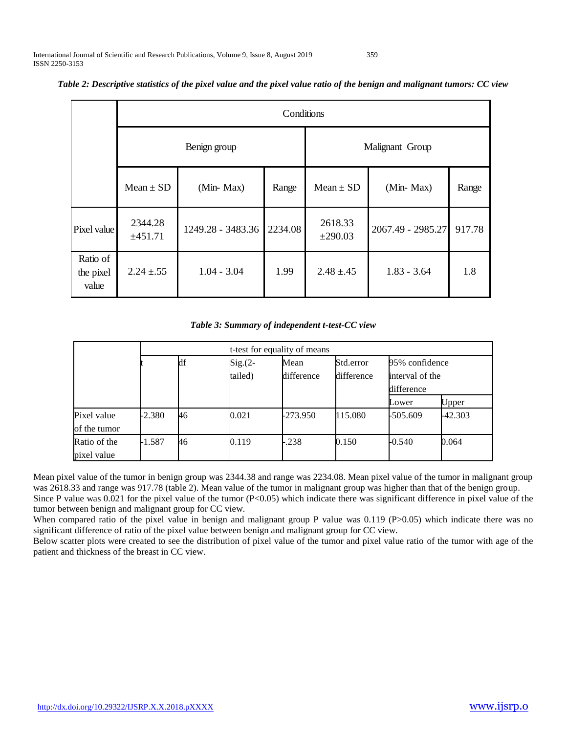International Journal of Scientific and Research Publications, Volume 9, Issue 8, August 2019 359 ISSN 2250-3153

|                                | Conditions         |                   |                 |                    |                   |        |  |  |
|--------------------------------|--------------------|-------------------|-----------------|--------------------|-------------------|--------|--|--|
|                                |                    | Benign group      | Malignant Group |                    |                   |        |  |  |
|                                | $Mean \pm SD$      | $(Min$ -Max $)$   | Range           | $Mean \pm SD$      | $(Min$ -Max $)$   | Range  |  |  |
| Pixel value                    | 2344.28<br>±451.71 | 1249.28 - 3483.36 | 2234.08         | 2618.33<br>±290.03 | 2067.49 - 2985.27 | 917.78 |  |  |
| Ratio of<br>the pixel<br>value | $2.24 \pm .55$     | $1.04 - 3.04$     | 1.99            | $2.48 \pm .45$     | $1.83 - 3.64$     | 1.8    |  |  |

# *Table 2: Descriptive statistics of the pixel value and the pixel value ratio of the benign and malignant tumors: CC view*

*Table 3: Summary of independent t-test-CC view*

|                             | t-test for equality of means |    |                      |                    |                         |                                                 |           |
|-----------------------------|------------------------------|----|----------------------|--------------------|-------------------------|-------------------------------------------------|-----------|
|                             |                              | df | $Sig.(2-$<br>tailed) | Mean<br>difference | Std.error<br>difference | 95% confidence<br>interval of the<br>difference |           |
|                             |                              |    |                      |                    |                         | Lower                                           | Upper     |
| Pixel value<br>of the tumor | $-2.380$                     | 46 | 0.021                | -273.950           | 115.080                 | -505.609                                        | $-42.303$ |
| Ratio of the<br>pixel value | 1.587                        | 46 | 0.119                | $-238$             | 0.150                   | $-0.540$                                        | 0.064     |

Mean pixel value of the tumor in benign group was 2344.38 and range was 2234.08. Mean pixel value of the tumor in malignant group was 2618.33 and range was 917.78 (table 2). Mean value of the tumor in malignant group was higher than that of the benign group. Since P value was 0.021 for the pixel value of the tumor (P<0.05) which indicate there was significant difference in pixel value of the tumor between benign and malignant group for CC view.

When compared ratio of the pixel value in benign and malignant group P value was 0.119 (P>0.05) which indicate there was no significant difference of ratio of the pixel value between benign and malignant group for CC view.

Below scatter plots were created to see the distribution of pixel value of the tumor and pixel value ratio of the tumor with age of the patient and thickness of the breast in CC view.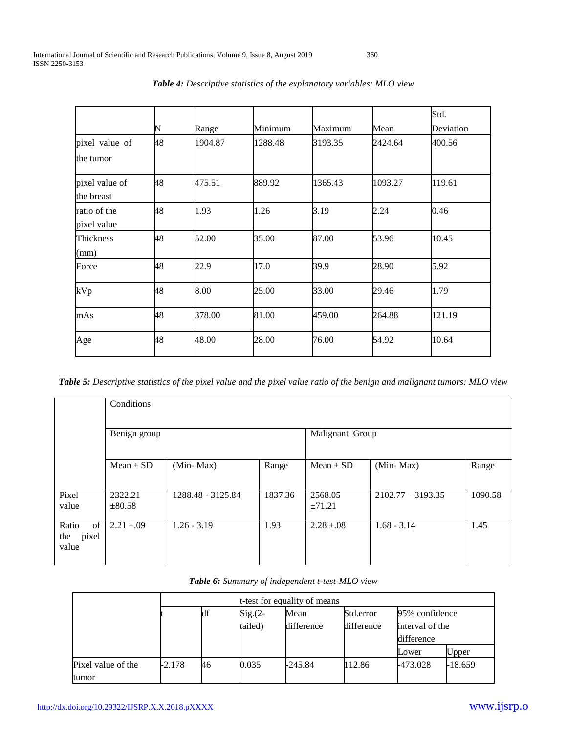|                              |    |         |         |         |         | Std.      |
|------------------------------|----|---------|---------|---------|---------|-----------|
|                              | N  | Range   | Minimum | Maximum | Mean    | Deviation |
| pixel value of<br>the tumor  | 48 | 1904.87 | 1288.48 | 3193.35 | 2424.64 | 400.56    |
| pixel value of<br>the breast | 48 | 475.51  | 889.92  | 1365.43 | 1093.27 | 119.61    |
| ratio of the<br>pixel value  | 48 | 1.93    | 1.26    | 3.19    | 2.24    | 0.46      |
| Thickness<br>(mm)            | 48 | 52.00   | 35.00   | 87.00   | 53.96   | 10.45     |
| Force                        | 48 | 22.9    | 17.0    | 39.9    | 28.90   | 5.92      |
| kVp                          | 48 | 8.00    | 25.00   | 33.00   | 29.46   | 1.79      |
| mAs                          | 48 | 378.00  | 81.00   | 459.00  | 264.88  | 121.19    |
| Age                          | 48 | 48.00   | 28.00   | 76.00   | 54.92   | 10.64     |

# *Table 4: Descriptive statistics of the explanatory variables: MLO view*

*Table 5: Descriptive statistics of the pixel value and the pixel value ratio of the benign and malignant tumors: MLO view*

|                                      | Conditions             |                   |         |                   |                     |         |
|--------------------------------------|------------------------|-------------------|---------|-------------------|---------------------|---------|
|                                      | Benign group           |                   |         | Malignant Group   |                     |         |
|                                      | Mean $\pm$ SD          | (Min-Max)         | Range   | Mean $\pm$ SD     | (Min-Max)           | Range   |
| Pixel<br>value                       | 2322.21<br>$\pm 80.58$ | 1288.48 - 3125.84 | 1837.36 | 2568.05<br>±71.21 | $2102.77 - 3193.35$ | 1090.58 |
| Ratio<br>of<br>pixel<br>the<br>value | $2.21 \pm .09$         | $1.26 - 3.19$     | 1.93    | $2.28 \pm .08$    | $1.68 - 3.14$       | 1.45    |

|  |  |  | Table 6: Summary of independent t-test-MLO view |
|--|--|--|-------------------------------------------------|
|--|--|--|-------------------------------------------------|

|                    |          |    |                        | t-test for equality of means |                         |            |                                   |  |
|--------------------|----------|----|------------------------|------------------------------|-------------------------|------------|-----------------------------------|--|
|                    |          |    | $Sig(2 - )$<br>tailed) | Mean<br>difference           | Std.error<br>difference | difference | 95% confidence<br>interval of the |  |
|                    |          |    |                        |                              |                         | Lower      | Upper                             |  |
| Pixel value of the | $-2.178$ | 46 | 0.035                  | $-245.84$                    | 112.86                  | -473.028   | $-18.659$                         |  |
| tumor              |          |    |                        |                              |                         |            |                                   |  |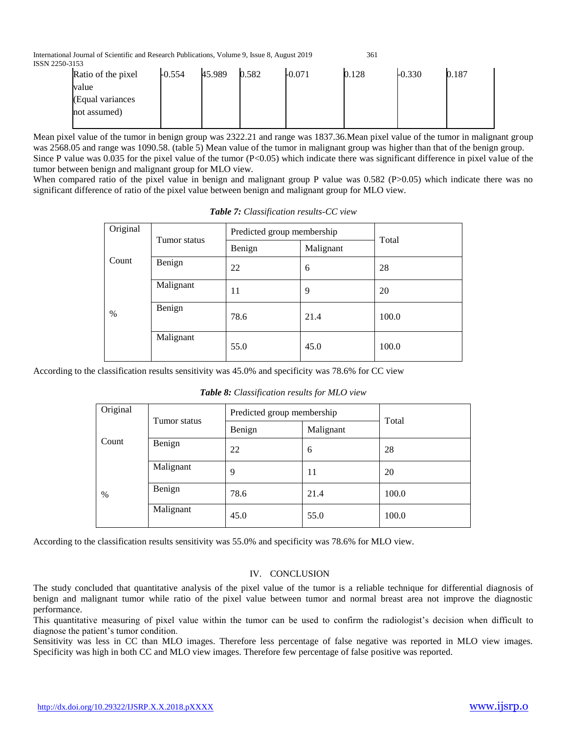| ISSN 2250-3153 | International Journal of Scientific and Research Publications, Volume 9, Issue 8, August 2019 |          |        |       |          | 361   |          |       |
|----------------|-----------------------------------------------------------------------------------------------|----------|--------|-------|----------|-------|----------|-------|
|                | Ratio of the pixel                                                                            | $-0.554$ | 45.989 | 0.582 | $-0.071$ | 0.128 | $-0.330$ | 0.187 |
|                | value                                                                                         |          |        |       |          |       |          |       |
|                | (Equal variances                                                                              |          |        |       |          |       |          |       |
|                | not assumed)                                                                                  |          |        |       |          |       |          |       |
|                |                                                                                               |          |        |       |          |       |          |       |

Mean pixel value of the tumor in benign group was 2322.21 and range was 1837.36.Mean pixel value of the tumor in malignant group was 2568.05 and range was 1090.58. (table 5) Mean value of the tumor in malignant group was higher than that of the benign group. Since P value was 0.035 for the pixel value of the tumor (P<0.05) which indicate there was significant difference in pixel value of the tumor between benign and malignant group for MLO view.

When compared ratio of the pixel value in benign and malignant group P value was  $0.582$  (P $>0.05$ ) which indicate there was no significant difference of ratio of the pixel value between benign and malignant group for MLO view.

| Original | Tumor status | Predicted group membership | Total     |       |
|----------|--------------|----------------------------|-----------|-------|
|          |              | Benign                     | Malignant |       |
| Count    | Benign       | 22                         | 6         | 28    |
|          | Malignant    | 11                         | 9         | 20    |
| $\%$     | Benign       | 78.6                       | 21.4      | 100.0 |
|          | Malignant    | 55.0                       | 45.0      | 100.0 |

*Table 7: Classification results-CC view*

According to the classification results sensitivity was 45.0% and specificity was 78.6% for CC view

*Table 8: Classification results for MLO view*

| Original |              | Predicted group membership | Total     |       |
|----------|--------------|----------------------------|-----------|-------|
|          | Tumor status | Benign                     | Malignant |       |
| Count    | Benign       | 22                         | 6         | 28    |
| $\%$     | Malignant    | 9                          | 11        | 20    |
|          | Benign       | 78.6                       | 21.4      | 100.0 |
|          | Malignant    | 45.0                       | 55.0      | 100.0 |

According to the classification results sensitivity was 55.0% and specificity was 78.6% for MLO view.

### IV. CONCLUSION

The study concluded that quantitative analysis of the pixel value of the tumor is a reliable technique for differential diagnosis of benign and malignant tumor while ratio of the pixel value between tumor and normal breast area not improve the diagnostic performance.

This quantitative measuring of pixel value within the tumor can be used to confirm the radiologist's decision when difficult to diagnose the patient's tumor condition.

Sensitivity was less in CC than MLO images. Therefore less percentage of false negative was reported in MLO view images. Specificity was high in both CC and MLO view images. Therefore few percentage of false positive was reported.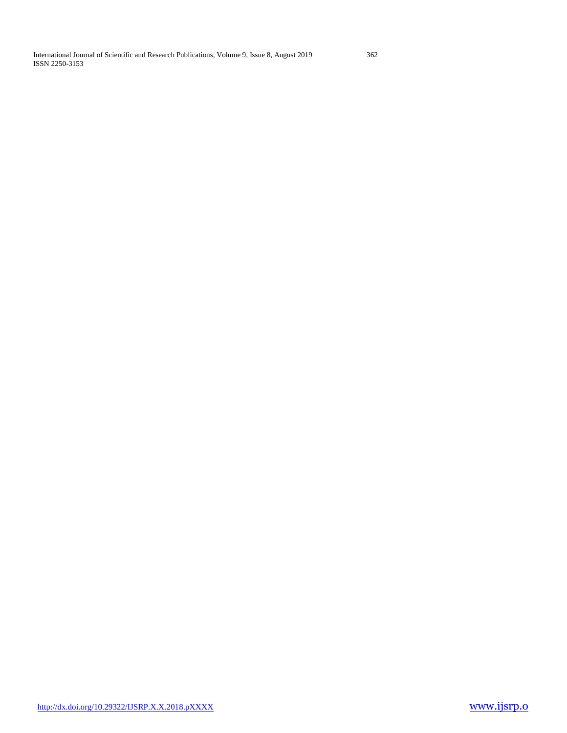International Journal of Scientific and Research Publications, Volume 9, Issue 8, August 2019 362 ISSN 2250-3153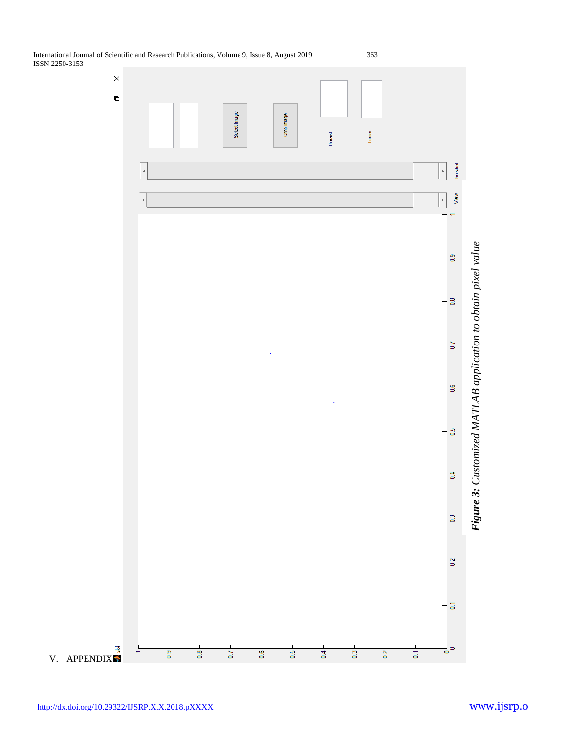